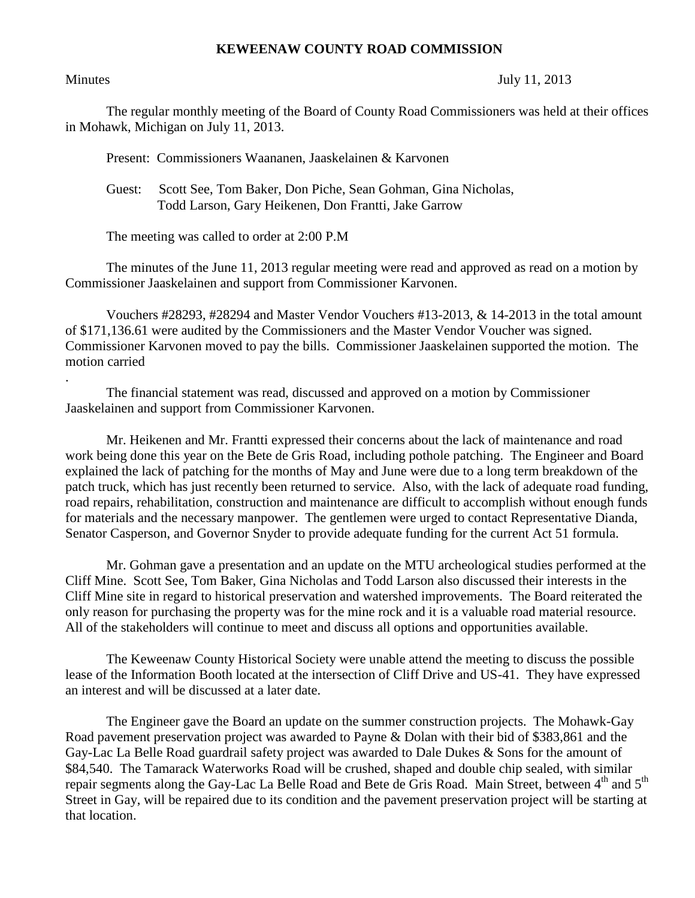## **KEWEENAW COUNTY ROAD COMMISSION**

.

## Minutes July 11, 2013

The regular monthly meeting of the Board of County Road Commissioners was held at their offices in Mohawk, Michigan on July 11, 2013.

Present: Commissioners Waananen, Jaaskelainen & Karvonen

 Guest: Scott See, Tom Baker, Don Piche, Sean Gohman, Gina Nicholas, Todd Larson, Gary Heikenen, Don Frantti, Jake Garrow

The meeting was called to order at 2:00 P.M

The minutes of the June 11, 2013 regular meeting were read and approved as read on a motion by Commissioner Jaaskelainen and support from Commissioner Karvonen.

Vouchers #28293, #28294 and Master Vendor Vouchers #13-2013, & 14-2013 in the total amount of \$171,136.61 were audited by the Commissioners and the Master Vendor Voucher was signed. Commissioner Karvonen moved to pay the bills. Commissioner Jaaskelainen supported the motion. The motion carried

The financial statement was read, discussed and approved on a motion by Commissioner Jaaskelainen and support from Commissioner Karvonen.

Mr. Heikenen and Mr. Frantti expressed their concerns about the lack of maintenance and road work being done this year on the Bete de Gris Road, including pothole patching. The Engineer and Board explained the lack of patching for the months of May and June were due to a long term breakdown of the patch truck, which has just recently been returned to service. Also, with the lack of adequate road funding, road repairs, rehabilitation, construction and maintenance are difficult to accomplish without enough funds for materials and the necessary manpower. The gentlemen were urged to contact Representative Dianda, Senator Casperson, and Governor Snyder to provide adequate funding for the current Act 51 formula.

Mr. Gohman gave a presentation and an update on the MTU archeological studies performed at the Cliff Mine. Scott See, Tom Baker, Gina Nicholas and Todd Larson also discussed their interests in the Cliff Mine site in regard to historical preservation and watershed improvements. The Board reiterated the only reason for purchasing the property was for the mine rock and it is a valuable road material resource. All of the stakeholders will continue to meet and discuss all options and opportunities available.

The Keweenaw County Historical Society were unable attend the meeting to discuss the possible lease of the Information Booth located at the intersection of Cliff Drive and US-41. They have expressed an interest and will be discussed at a later date.

The Engineer gave the Board an update on the summer construction projects. The Mohawk-Gay Road pavement preservation project was awarded to Payne & Dolan with their bid of \$383,861 and the Gay-Lac La Belle Road guardrail safety project was awarded to Dale Dukes & Sons for the amount of \$84,540. The Tamarack Waterworks Road will be crushed, shaped and double chip sealed, with similar repair segments along the Gay-Lac La Belle Road and Bete de Gris Road. Main Street, between 4<sup>th</sup> and 5<sup>th</sup> Street in Gay, will be repaired due to its condition and the pavement preservation project will be starting at that location.